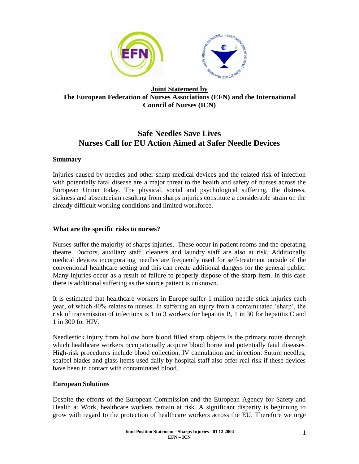

## **Joint Statement by The European Federation of Nurses Associations (EFN) and the International Council of Nurses (ICN)**

# **Safe Needles Save Lives Nurses Call for EU Action Aimed at Safer Needle Devices**

### **Summary**

Injuries caused by needles and other sharp medical devices and the related risk of infection with potentially fatal disease are a major threat to the health and safety of nurses across the European Union today. The physical, social and psychological suffering, the distress, sickness and absenteeism resulting from sharps injuries constitute a considerable strain on the already difficult working conditions and limited workforce.

#### **What are the specific risks to nurses?**

Nurses suffer the majority of sharps injuries. These occur in patient rooms and the operating theatre. Doctors, auxiliary staff, cleaners and laundry staff are also at risk. Additionally medical devices incorporating needles are frequently used for self-treatment outside of the conventional healthcare setting and this can create additional dangers for the general public. Many injuries occur as a result of failure to properly dispose of the sharp item. In this case there is additional suffering as the source patient is unknown.

It is estimated that healthcare workers in Europe suffer 1 million needle stick injuries each year, of which 40% relates to nurses. In suffering an injury from a contaminated 'sharp', the risk of transmission of infections is 1 in 3 workers for hepatitis B, 1 in 30 for hepatitis C and 1 in 300 for HIV.

Needlestick injury from hollow bore blood filled sharp objects is the primary route through which healthcare workers occupationally acquire blood borne and potentially fatal diseases. High-risk procedures include blood collection, IV cannulation and injection. Suture needles, scalpel blades and glass items used daily by hospital staff also offer real risk if these devices have been in contact with contaminated blood.

#### **European Solutions**

Despite the efforts of the European Commission and the European Agency for Safety and Health at Work, healthcare workers remain at risk. A significant disparity is beginning to grow with regard to the protection of healthcare workers across the EU. Therefore we urge